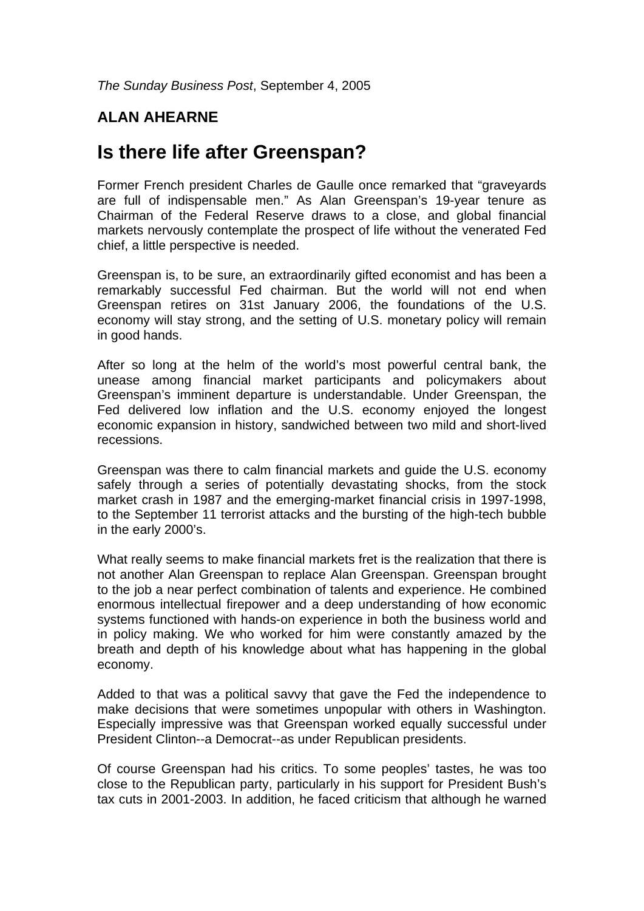## **ALAN AHEARNE**

## **Is there life after Greenspan?**

Former French president Charles de Gaulle once remarked that "graveyards are full of indispensable men." As Alan Greenspan's 19-year tenure as Chairman of the Federal Reserve draws to a close, and global financial markets nervously contemplate the prospect of life without the venerated Fed chief, a little perspective is needed.

Greenspan is, to be sure, an extraordinarily gifted economist and has been a remarkably successful Fed chairman. But the world will not end when Greenspan retires on 31st January 2006, the foundations of the U.S. economy will stay strong, and the setting of U.S. monetary policy will remain in good hands.

After so long at the helm of the world's most powerful central bank, the unease among financial market participants and policymakers about Greenspan's imminent departure is understandable. Under Greenspan, the Fed delivered low inflation and the U.S. economy enjoyed the longest economic expansion in history, sandwiched between two mild and short-lived recessions.

Greenspan was there to calm financial markets and guide the U.S. economy safely through a series of potentially devastating shocks, from the stock market crash in 1987 and the emerging-market financial crisis in 1997-1998, to the September 11 terrorist attacks and the bursting of the high-tech bubble in the early 2000's.

What really seems to make financial markets fret is the realization that there is not another Alan Greenspan to replace Alan Greenspan. Greenspan brought to the job a near perfect combination of talents and experience. He combined enormous intellectual firepower and a deep understanding of how economic systems functioned with hands-on experience in both the business world and in policy making. We who worked for him were constantly amazed by the breath and depth of his knowledge about what has happening in the global economy.

Added to that was a political savvy that gave the Fed the independence to make decisions that were sometimes unpopular with others in Washington. Especially impressive was that Greenspan worked equally successful under President Clinton--a Democrat--as under Republican presidents.

Of course Greenspan had his critics. To some peoples' tastes, he was too close to the Republican party, particularly in his support for President Bush's tax cuts in 2001-2003. In addition, he faced criticism that although he warned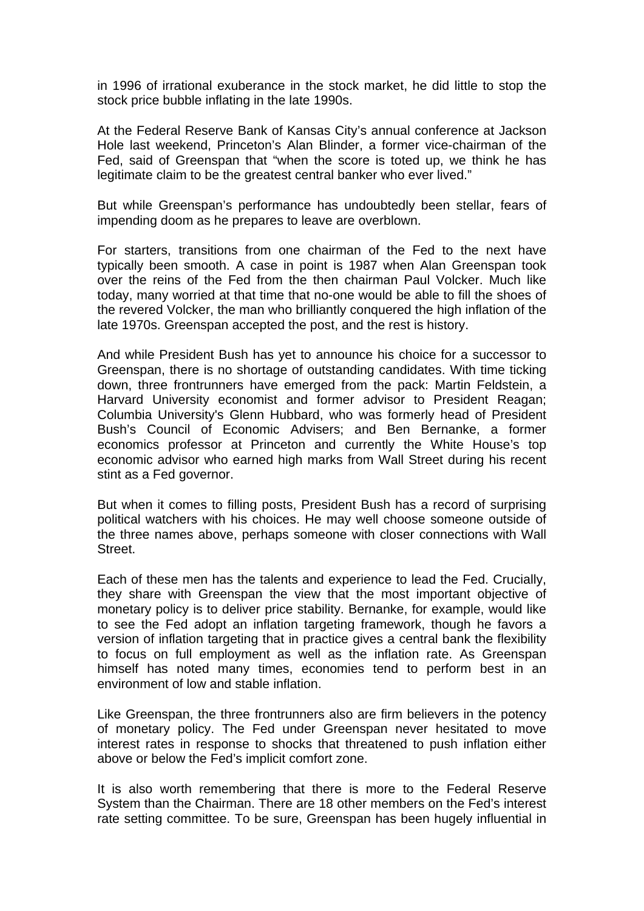in 1996 of irrational exuberance in the stock market, he did little to stop the stock price bubble inflating in the late 1990s.

At the Federal Reserve Bank of Kansas City's annual conference at Jackson Hole last weekend, Princeton's Alan Blinder, a former vice-chairman of the Fed, said of Greenspan that "when the score is toted up, we think he has legitimate claim to be the greatest central banker who ever lived."

But while Greenspan's performance has undoubtedly been stellar, fears of impending doom as he prepares to leave are overblown.

For starters, transitions from one chairman of the Fed to the next have typically been smooth. A case in point is 1987 when Alan Greenspan took over the reins of the Fed from the then chairman Paul Volcker. Much like today, many worried at that time that no-one would be able to fill the shoes of the revered Volcker, the man who brilliantly conquered the high inflation of the late 1970s. Greenspan accepted the post, and the rest is history.

And while President Bush has yet to announce his choice for a successor to Greenspan, there is no shortage of outstanding candidates. With time ticking down, three frontrunners have emerged from the pack: Martin Feldstein, a Harvard University economist and former advisor to President Reagan; Columbia University's Glenn Hubbard, who was formerly head of President Bush's Council of Economic Advisers; and Ben Bernanke, a former economics professor at Princeton and currently the White House's top economic advisor who earned high marks from Wall Street during his recent stint as a Fed governor.

But when it comes to filling posts, President Bush has a record of surprising political watchers with his choices. He may well choose someone outside of the three names above, perhaps someone with closer connections with Wall Street.

Each of these men has the talents and experience to lead the Fed. Crucially, they share with Greenspan the view that the most important objective of monetary policy is to deliver price stability. Bernanke, for example, would like to see the Fed adopt an inflation targeting framework, though he favors a version of inflation targeting that in practice gives a central bank the flexibility to focus on full employment as well as the inflation rate. As Greenspan himself has noted many times, economies tend to perform best in an environment of low and stable inflation.

Like Greenspan, the three frontrunners also are firm believers in the potency of monetary policy. The Fed under Greenspan never hesitated to move interest rates in response to shocks that threatened to push inflation either above or below the Fed's implicit comfort zone.

It is also worth remembering that there is more to the Federal Reserve System than the Chairman. There are 18 other members on the Fed's interest rate setting committee. To be sure, Greenspan has been hugely influential in